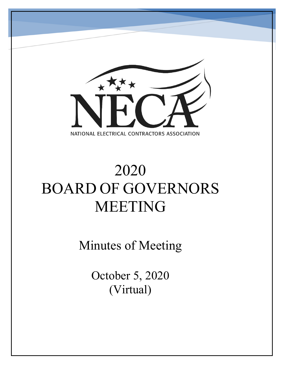

# 2020 BOARD OF GOVERNORS MEETING

Minutes of Meeting

October 5, 2020 (Virtual)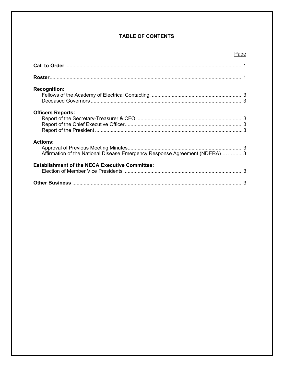# **TABLE OF CONTENTS**

## Page

| <b>Recognition:</b>                                                                            |  |
|------------------------------------------------------------------------------------------------|--|
| <b>Officers Reports:</b>                                                                       |  |
| <b>Actions:</b><br>Affirmation of the National Disease Emergency Response Agreement (NDERA)  3 |  |
| <b>Establishment of the NECA Executive Committee:</b>                                          |  |
|                                                                                                |  |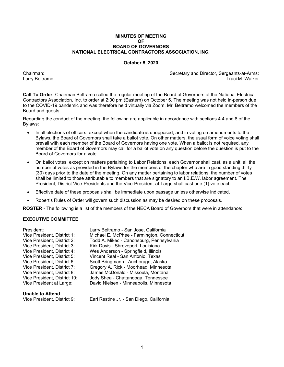#### **MINUTES OF MEETING Solution Contract Contract Contract Contract Contract Contract Contract Contract Contract Contract Contract Contract Contract Contract Contract Contract Contract Contract Contract Contract Contract Contract Contract Contr BOARD OF GOVERNORS NATIONAL ELECTRICAL CONTRACTORS ASSOCIATION, INC.**

#### **October 5, 2020**

Chairman: Secretary and Director, Sergeants-at-Arms: Larry Beltramo Traci M. Walker

**Call To Order:** Chairman Beltramo called the regular meeting of the Board of Governors of the National Electrical Contractors Association, Inc. to order at 2:00 pm (Eastern) on October 5. The meeting was not held in-person due to the COVID-19 pandemic and was therefore held virtually via Zoom. Mr. Beltramo welcomed the members of the Board and guests.

Regarding the conduct of the meeting, the following are applicable in accordance with sections 4.4 and 8 of the Bylaws:

- In all elections of officers, except when the candidate is unopposed, and in voting on amendments to the Bylaws, the Board of Governors shall take a ballot vote. On other matters, the usual form of voice voting shall prevail with each member of the Board of Governors having one vote. When a ballot is not required, any member of the Board of Governors may call for a ballot vote on any question before the question is put to the Board of Governors for a vote.
- On ballot votes, except on matters pertaining to Labor Relations, each Governor shall cast, as a unit, all the number of votes as provided in the Bylaws for the members of the chapter who are in good standing thirty (30) days prior to the date of the meeting. On any matter pertaining to labor relations, the number of votes shall be limited to those attributable to members that are signatory to an I.B.E.W. labor agreement. The President, District Vice-Presidents and the Vice-President-at-Large shall cast one (1) vote each.
- Effective date of these proposals shall be immediate upon passage unless otherwise indicated.
- Robert's Rules of Order will govern such discussion as may be desired on these proposals.

**ROSTER** - The following is a list of the members of the NECA Board of Governors that were in attendance:

#### **EXECUTIVE COMMITTEE**

| Vice President, District 1:  | Micha   |
|------------------------------|---------|
| Vice President, District 2:  | Todd /  |
| Vice President, District 3:  | Kirk D  |
| Vice President, District 4:  | Wes A   |
| Vice President, District 5:  | Vincer  |
| Vice President, District 6:  | Scott I |
| Vice President, District 7:  | Grego   |
| Vice President, District 8:  | James   |
| Vice President, District 10: | Jody S  |
| Vice President at Large:     | David   |

President: Larry Beltramo - San Jose, California el E. McPhee - Farmington, Connecticut A. Mikec - Canonsburg, Pennsylvania avis - Shreveport, Louisiana nderson - Springfield, Illinois nt Real - San Antonio, Texas Bringmann - Anchorage, Alaska ry A. Rick - Moorhead, Minnesota s McDonald - Missoula, Montana Shea - Chattanooga, Tennessee Nielsen - Minneapolis, Minnesota

#### **Unable to Attend**

Vice President, District 9: Earl Restine Jr. - San Diego, California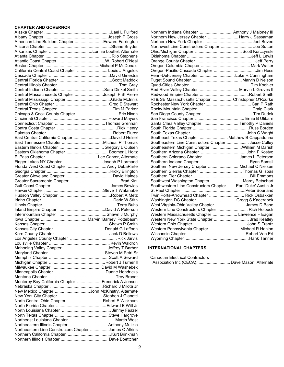#### **CHAPTER AND GOVERNOR**

| American Line Builders Chapter  Edward Farrington     |  |
|-------------------------------------------------------|--|
|                                                       |  |
|                                                       |  |
|                                                       |  |
|                                                       |  |
|                                                       |  |
| California Central Coast Chapter  Louis J Angelos     |  |
|                                                       |  |
|                                                       |  |
|                                                       |  |
|                                                       |  |
| Central Massachusetts Chapter Joseph F St Pierre      |  |
|                                                       |  |
|                                                       |  |
|                                                       |  |
|                                                       |  |
|                                                       |  |
|                                                       |  |
|                                                       |  |
|                                                       |  |
|                                                       |  |
|                                                       |  |
|                                                       |  |
|                                                       |  |
| Finger Lakes NY Chapter  Joseph P Lormand             |  |
| Florida West Coast Chapter  Andy DeLaParte            |  |
|                                                       |  |
|                                                       |  |
|                                                       |  |
|                                                       |  |
|                                                       |  |
|                                                       |  |
|                                                       |  |
|                                                       |  |
|                                                       |  |
|                                                       |  |
|                                                       |  |
|                                                       |  |
|                                                       |  |
|                                                       |  |
|                                                       |  |
|                                                       |  |
|                                                       |  |
|                                                       |  |
|                                                       |  |
|                                                       |  |
|                                                       |  |
|                                                       |  |
|                                                       |  |
| Monterey Bay California Chapter Frederick A Jensen    |  |
|                                                       |  |
| New Mexico Chapter John McKinstry, Alternate          |  |
|                                                       |  |
| North Central Ohio Chapter Robert E Wickham           |  |
|                                                       |  |
|                                                       |  |
|                                                       |  |
|                                                       |  |
| Northeastern Illinois Chapter  Anthony Mulizio        |  |
|                                                       |  |
| Northeastern Line Constructors Chapter James C Atkins |  |
|                                                       |  |

| Northern Indiana Chapter  Anthony J Maloney III               |  |
|---------------------------------------------------------------|--|
| Northern New Jersey Chapter  Harry J Sassaman                 |  |
|                                                               |  |
| Northwest Line Constructors Chapter  Joe Sutton               |  |
|                                                               |  |
|                                                               |  |
|                                                               |  |
|                                                               |  |
|                                                               |  |
| Penn-Del-Jersey Chapter Luke R Cunningham                     |  |
|                                                               |  |
|                                                               |  |
| Red River Valley Chapter  Marvin L Groves II                  |  |
|                                                               |  |
| RI & SE Massachusetts Chapter  Christopher O'Rourke           |  |
|                                                               |  |
|                                                               |  |
|                                                               |  |
|                                                               |  |
| Santa Clara Valley Chapter  Timothy P Daniels                 |  |
|                                                               |  |
|                                                               |  |
| Southeast Texas Chapter  Matthew B Cappadonna                 |  |
| Southeastern Line Constructors Chapter  Jesse Colley          |  |
| Southeastern Michigan Chapter  William M Darish               |  |
|                                                               |  |
| Southern Colorado Chapter James L Peterson                    |  |
|                                                               |  |
| Southern New Jersey Chapter Michael C Nielsen                 |  |
|                                                               |  |
|                                                               |  |
| Southwest Washington Chapter  Mardy Betschart                 |  |
| Southwestern Line Constructors Chapter  Earl 'Duke' Austin Jr |  |
|                                                               |  |
| Twin Ports-Arrowhead Chapter  Rick Osbakken                   |  |
| Washington DC Chapter Gregg S Kaderabek                       |  |
| West Virginia-Ohio Valley Chapter James D Bane                |  |
| Western Line Constructors Chapter  Rich Holbeck               |  |
| Western Massachusetts Chapter  Lawrence F Eagan               |  |
| Western New York State Chapter  Brad Keatley                  |  |
|                                                               |  |
| Western Pennsylvania Chapter  Michael R Hanlon                |  |
|                                                               |  |
|                                                               |  |

### **INTERNATIONAL CHAPTERS**

| Canadian Electrical Contractors |                                              |  |
|---------------------------------|----------------------------------------------|--|
|                                 | Association Inc (CECA) Dave Mason, Alternate |  |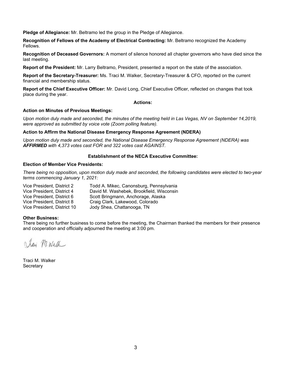**Pledge of Allegiance:** Mr. Beltramo led the group in the Pledge of Allegiance.

**Recognition of Fellows of the Academy of Electrical Contracting:** Mr. Beltramo recognized the Academy Fellows.

**Recognition of Deceased Governors:** A moment of silence honored all chapter governors who have died since the last meeting.

**Report of the President:** Mr. Larry Beltramo, President, presented a report on the state of the association.

**Report of the Secretary-Treasurer:** Ms. Traci M. Walker, Secretary-Treasurer & CFO, reported on the current financial and membership status.

**Report of the Chief Executive Officer:** Mr. David Long, Chief Executive Officer, reflected on changes that took place during the year.

#### **Actions:**

#### **Action on Minutes of Previous Meetings:**

*Upon motion duly made and seconded, the minutes of the meeting held in Las Vegas, NV on September 14,2019, were approved as submitted by voice vote (Zoom polling feature).* 

#### **Action to Affirm the National Disease Emergency Response Agreement (NDERA)**

*Upon motion duly made and seconded, the National Disease Emergency Response Agreement (NDERA) was AFFIRMED with 4,373 votes cast FOR and 322 votes cast AGAINST.* 

#### **Establishment of the NECA Executive Committee:**

#### **Election of Member Vice Presidents:**

*There being no opposition, upon motion duly made and seconded, the following candidates were elected to two-year terms commencing January 1, 2021:*

Vice President, District 2 Todd A. Mikec, Canonsburg, Pennsylvania David M. Washebek, Brookfield, Wisconsin Vice President, District 6 Scott Bringmann, Anchorage, Alaska Vice President, District 8 Craig Clark, Lakewood, Colorado<br>Vice President. District 10 Jody Shea. Chattanooga. TN Jody Shea, Chattanooga, TN

#### **Other Business:**

There being no further business to come before the meeting, the Chairman thanked the members for their presence and cooperation and officially adjourned the meeting at 3:00 pm.

Jay M. Wath

Traci M. Walker **Secretary**